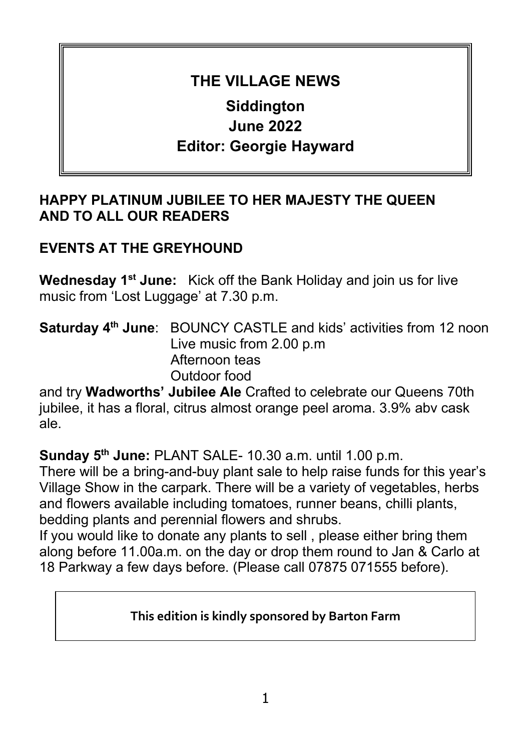# **THE VILLAGE NEWS**

# **Siddington June 2022 Editor: Georgie Hayward**

### **HAPPY PLATINUM JUBILEE TO HER MAJESTY THE QUEEN AND TO ALL OUR READERS**

## **EVENTS AT THE GREYHOUND**

**Wednesday 1st June:** Kick off the Bank Holiday and join us for live music from 'Lost Luggage' at 7.30 p.m.

**Saturday 4<sup>th</sup> June**: BOUNCY CASTLE and kids' activities from 12 noon Live music from 2.00 p.m Afternoon teas Outdoor food

and try **Wadworths' Jubilee Ale** Crafted to celebrate our Queens 70th jubilee, it has a floral, citrus almost orange peel aroma. 3.9% abv cask ale.

**Sunday 5th June:** PLANT SALE- 10.30 a.m. until 1.00 p.m.

There will be a bring-and-buy plant sale to help raise funds for this year's Village Show in the carpark. There will be a variety of vegetables, herbs and flowers available including tomatoes, runner beans, chilli plants, bedding plants and perennial flowers and shrubs.

If you would like to donate any plants to sell , please either bring them along before 11.00a.m. on the day or drop them round to Jan & Carlo at 18 Parkway a few days before. (Please call 07875 071555 before).

#### **This edition is kindly sponsored by Barton Farm**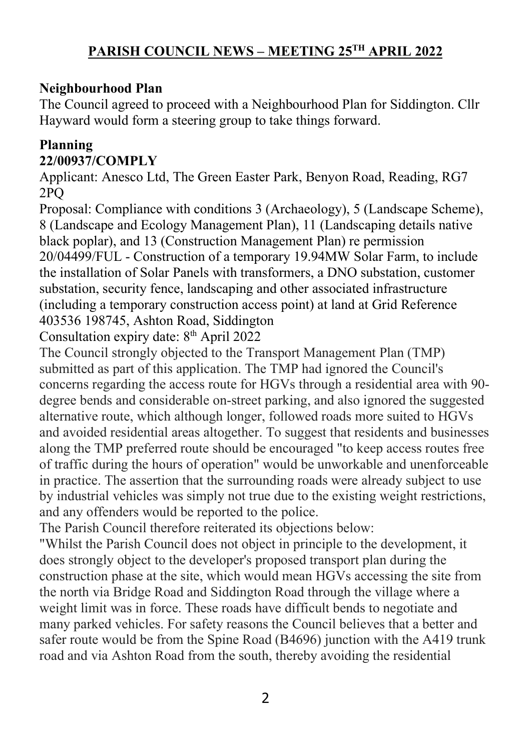### **Neighbourhood Plan**

The Council agreed to proceed with a Neighbourhood Plan for Siddington. Cllr Hayward would form a steering group to take things forward.

### **Planning 22/00937/COMPLY**

Applicant: Anesco Ltd, The Green Easter Park, Benyon Road, Reading, RG7 2PQ

Proposal: Compliance with conditions 3 (Archaeology), 5 (Landscape Scheme), 8 (Landscape and Ecology Management Plan), 11 (Landscaping details native black poplar), and 13 (Construction Management Plan) re permission 20/04499/FUL - Construction of a temporary 19.94MW Solar Farm, to include the installation of Solar Panels with transformers, a DNO substation, customer substation, security fence, landscaping and other associated infrastructure (including a temporary construction access point) at land at Grid Reference 403536 198745, Ashton Road, Siddington

Consultation expiry date:  $8<sup>th</sup>$  April 2022

The Council strongly objected to the Transport Management Plan (TMP) submitted as part of this application. The TMP had ignored the Council's concerns regarding the access route for HGVs through a residential area with 90 degree bends and considerable on-street parking, and also ignored the suggested alternative route, which although longer, followed roads more suited to HGVs and avoided residential areas altogether. To suggest that residents and businesses along the TMP preferred route should be encouraged "to keep access routes free of traffic during the hours of operation" would be unworkable and unenforceable in practice. The assertion that the surrounding roads were already subject to use by industrial vehicles was simply not true due to the existing weight restrictions, and any offenders would be reported to the police.

The Parish Council therefore reiterated its objections below:

"Whilst the Parish Council does not object in principle to the development, it does strongly object to the developer's proposed transport plan during the construction phase at the site, which would mean HGVs accessing the site from the north via Bridge Road and Siddington Road through the village where a weight limit was in force. These roads have difficult bends to negotiate and many parked vehicles. For safety reasons the Council believes that a better and safer route would be from the Spine Road (B4696) junction with the A419 trunk road and via Ashton Road from the south, thereby avoiding the residential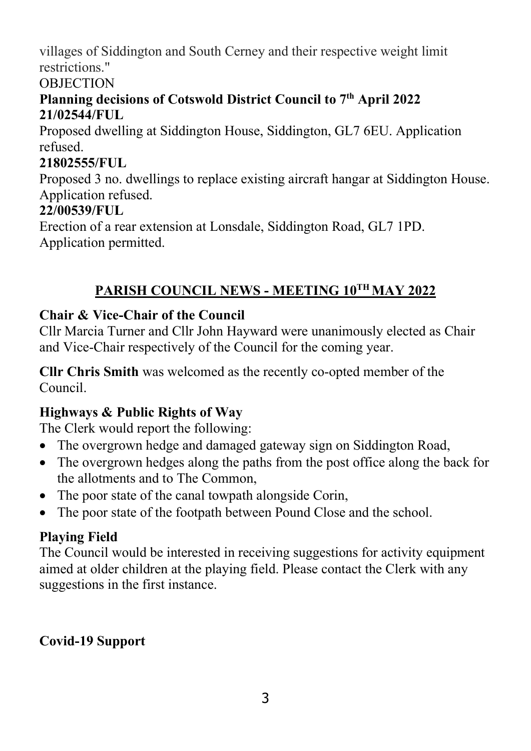villages of Siddington and South Cerney and their respective weight limit restrictions."

#### **OBJECTION**

### Planning decisions of Cotswold District Council to 7<sup>th</sup> April 2022 **21/02544/FUL**

Proposed dwelling at Siddington House, Siddington, GL7 6EU. Application refused.

### **21802555/FUL**

Proposed 3 no. dwellings to replace existing aircraft hangar at Siddington House. Application refused.

### **22/00539/FUL**

Erection of a rear extension at Lonsdale, Siddington Road, GL7 1PD. Application permitted.

## **PARISH COUNCIL NEWS - MEETING 10TH MAY 2022**

## **Chair & Vice-Chair of the Council**

Cllr Marcia Turner and Cllr John Hayward were unanimously elected as Chair and Vice-Chair respectively of the Council for the coming year.

**Cllr Chris Smith** was welcomed as the recently co-opted member of the Council.

## **Highways & Public Rights of Way**

The Clerk would report the following:

- The overgrown hedge and damaged gateway sign on Siddington Road,
- The overgrown hedges along the paths from the post office along the back for the allotments and to The Common,
- The poor state of the canal towpath alongside Corin,
- The poor state of the footpath between Pound Close and the school.

## **Playing Field**

The Council would be interested in receiving suggestions for activity equipment aimed at older children at the playing field. Please contact the Clerk with any suggestions in the first instance.

## **Covid-19 Support**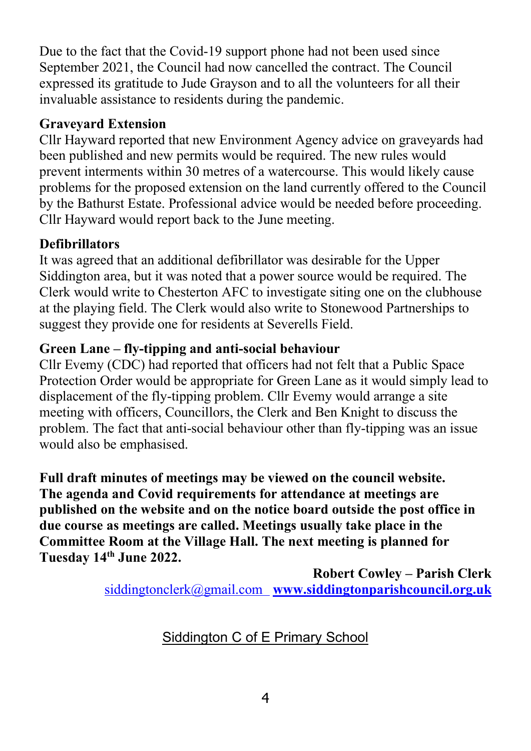Due to the fact that the Covid-19 support phone had not been used since September 2021, the Council had now cancelled the contract. The Council expressed its gratitude to Jude Grayson and to all the volunteers for all their invaluable assistance to residents during the pandemic.

### **Graveyard Extension**

Cllr Hayward reported that new Environment Agency advice on graveyards had been published and new permits would be required. The new rules would prevent interments within 30 metres of a watercourse. This would likely cause problems for the proposed extension on the land currently offered to the Council by the Bathurst Estate. Professional advice would be needed before proceeding. Cllr Hayward would report back to the June meeting.

### **Defibrillators**

It was agreed that an additional defibrillator was desirable for the Upper Siddington area, but it was noted that a power source would be required. The Clerk would write to Chesterton AFC to investigate siting one on the clubhouse at the playing field. The Clerk would also write to Stonewood Partnerships to suggest they provide one for residents at Severells Field.

### **Green Lane – fly-tipping and anti-social behaviour**

Cllr Evemy (CDC) had reported that officers had not felt that a Public Space Protection Order would be appropriate for Green Lane as it would simply lead to displacement of the fly-tipping problem. Cllr Evemy would arrange a site meeting with officers, Councillors, the Clerk and Ben Knight to discuss the problem. The fact that anti-social behaviour other than fly-tipping was an issue would also be emphasised.

**Full draft minutes of meetings may be viewed on the council website. The agenda and Covid requirements for attendance at meetings are published on the website and on the notice board outside the post office in due course as meetings are called. Meetings usually take place in the Committee Room at the Village Hall. The next meeting is planned for Tuesday 14th June 2022.** 

> **Robert Cowley – Parish Clerk** [siddingtonclerk@gmail.com](mailto:siddingtonclerk@gmail.com) **[www.siddingtonparishcouncil.org.uk](http://www.siddingtonparishcouncil.org.uk/)**

> > Siddington C of E Primary School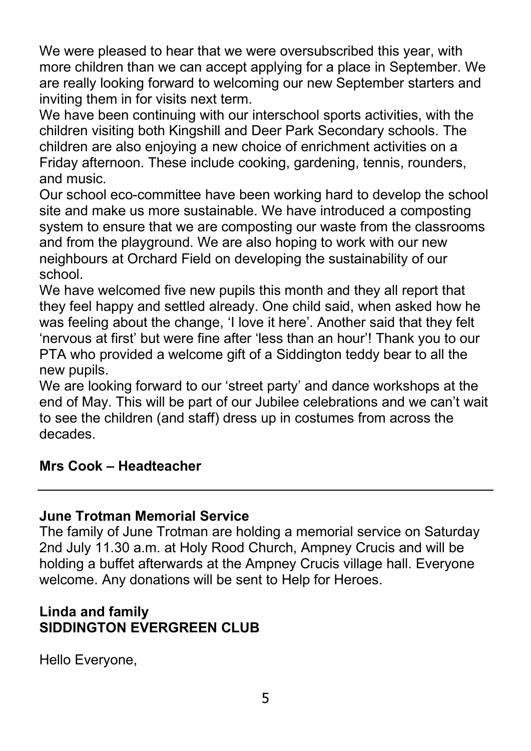We were pleased to hear that we were oversubscribed this year, with more children than we can accept applying for a place in September. We are really looking forward to welcoming our new September starters and inviting them in for visits next term.

We have been continuing with our interschool sports activities, with the children visiting both Kingshill and Deer Park Secondary schools. The children are also enjoying a new choice of enrichment activities on a Friday afternoon. These include cooking, gardening, tennis, rounders, and music.

Our school eco-committee have been working hard to develop the school site and make us more sustainable. We have introduced a composting system to ensure that we are composting our waste from the classrooms and from the playground. We are also hoping to work with our new neighbours at Orchard Field on developing the sustainability of our school.

We have welcomed five new pupils this month and they all report that they feel happy and settled already. One child said, when asked how he was feeling about the change, 'I love it here'. Another said that they felt 'nervous at first' but were fine after 'less than an hour'! Thank you to our PTA who provided a welcome gift of a Siddington teddy bear to all the new pupils.

We are looking forward to our 'street party' and dance workshops at the end of May. This will be part of our Jubilee celebrations and we can't wait to see the children (and staff) dress up in costumes from across the decades.

### **Mrs Cook – Headteacher**

### **June Trotman Memorial Service**

The family of June Trotman are holding a memorial service on Saturday 2nd July 11.30 a.m. at Holy Rood Church, Ampney Crucis and will be holding a buffet afterwards at the Ampney Crucis village hall. Everyone welcome. Any donations will be sent to Help for Heroes.

### **Linda and family SIDDINGTON EVERGREEN CLUB**

Hello Everyone,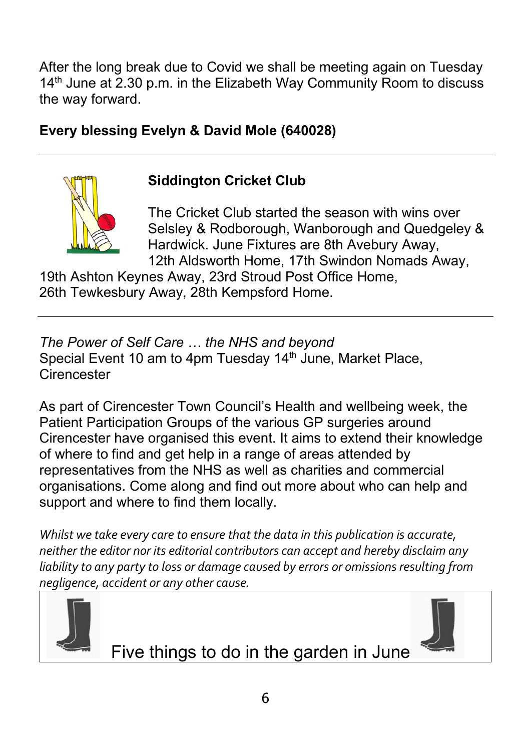After the long break due to Covid we shall be meeting again on Tuesday 14<sup>th</sup> June at 2.30 p.m. in the Elizabeth Way Community Room to discuss the way forward.

# **Every blessing Evelyn & David Mole (640028)**



## **Siddington Cricket Club**

The Cricket Club started the season with wins over Selsley & Rodborough, Wanborough and Quedgeley & Hardwick. June Fixtures are 8th Avebury Away, 12th Aldsworth Home, 17th Swindon Nomads Away,

19th Ashton Keynes Away, 23rd Stroud Post Office Home, 26th Tewkesbury Away, 28th Kempsford Home.

*The Power of Self Care … the NHS and beyond* Special Event 10 am to 4pm Tuesday 14<sup>th</sup> June, Market Place, **Cirencester** 

As part of Cirencester Town Council's Health and wellbeing week, the Patient Participation Groups of the various GP surgeries around Cirencester have organised this event. It aims to extend their knowledge of where to find and get help in a range of areas attended by representatives from the NHS as well as charities and commercial organisations. Come along and find out more about who can help and support and where to find them locally.

*Whilst we take every care to ensure that the data in this publication is accurate, neither the editor nor its editorial contributors can accept and hereby disclaim any liability to any party to loss or damage caused by errors or omissions resulting from negligence, accident or any other cause.*



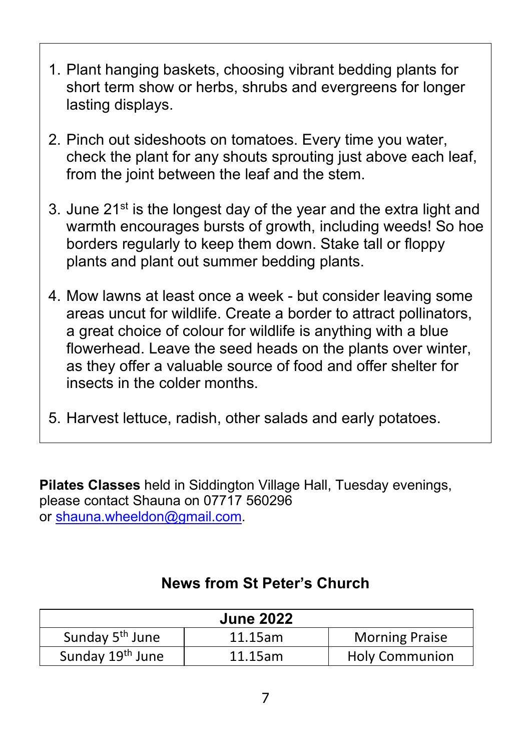- 1. Plant hanging baskets, choosing vibrant bedding plants for short term show or herbs, shrubs and evergreens for longer lasting displays.
- 2. Pinch out sideshoots on tomatoes. Every time you water, check the plant for any shouts sprouting just above each leaf, from the joint between the leaf and the stem.
- 3. June 21<sup>st</sup> is the longest day of the year and the extra light and warmth encourages bursts of growth, including weeds! So hoe borders regularly to keep them down. Stake tall or floppy plants and plant out summer bedding plants.
- 4. Mow lawns at least once a week but consider leaving some areas uncut for wildlife. Create a border to attract pollinators, a great choice of colour for wildlife is anything with a blue flowerhead. Leave the seed heads on the plants over winter, as they offer a valuable source of food and offer shelter for insects in the colder months.
- 5. Harvest lettuce, radish, other salads and early potatoes.

**Pilates Classes** held in Siddington Village Hall, Tuesday evenings, please contact Shauna on 07717 560296 or [shauna.wheeldon@gmail.com.](mailto:shauna.wheeldon@gmail.com)

### **News from St Peter's Church**

| <b>June 2022</b>             |         |                       |  |
|------------------------------|---------|-----------------------|--|
| Sunday 5 <sup>th</sup> June  | 11.15am | <b>Morning Praise</b> |  |
| Sunday 19 <sup>th</sup> June | 11.15am | <b>Holy Communion</b> |  |